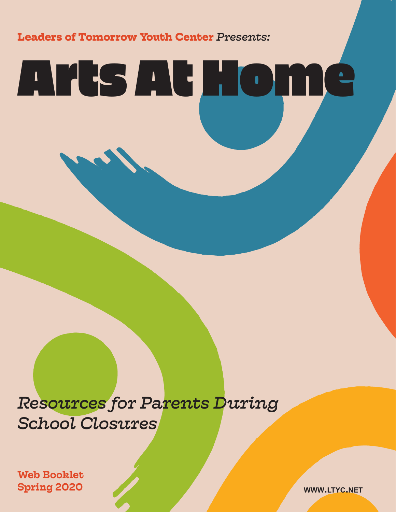**Leaders of Tomorrow Youth Center** *Presents:*

# Arts At Home

# *Resources for Parents During School Closures*

Web Booklet Spring 2020 **www.ltyc.net**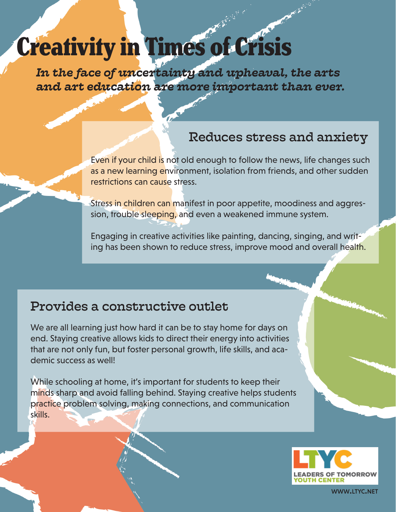# Creativity in Times of Crisis

*In the face of uncertainty and upheaval, the arts and art education are more important than ever.*

# Reduces stress and anxiety

Even if your child is not old enough to follow the news, life changes such as a new learning environment, isolation from friends, and other sudden restrictions can cause stress.

Stress in children can manifest in poor appetite, moodiness and aggression, trouble sleeping, and even a weakened immune system.

Engaging in creative activities like painting, dancing, singing, and writing has been shown to reduce stress, improve mood and overall health.

# Provides a constructive outlet

We are all learning just how hard it can be to stay home for days on end. Staying creative allows kids to direct their energy into activities that are not only fun, but foster personal growth, life skills, and academic success as well!

While schooling at home, it's important for students to keep their minds sharp and avoid falling behind. Staying creative helps students practice problem solving, making connections, and communication skills.

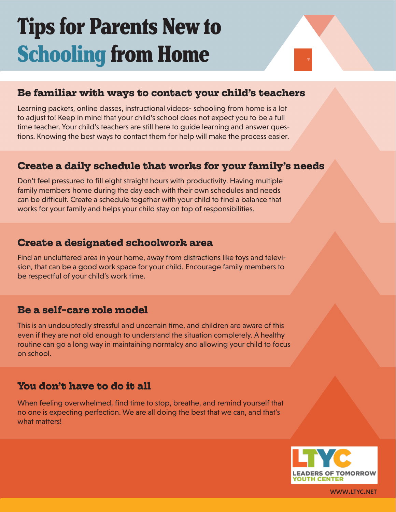# Tips for Parents New to Schooling from Home



### **Be familiar with ways to contact your child's teachers**

Learning packets, online classes, instructional videos- schooling from home is a lot to adjust to! Keep in mind that your child's school does not expect you to be a full time teacher. Your child's teachers are still here to guide learning and answer questions. Knowing the best ways to contact them for help will make the process easier.

### **Create a daily schedule that works for your family's needs**

Don't feel pressured to fill eight straight hours with productivity. Having multiple family members home during the day each with their own schedules and needs can be difficult. Create a schedule together with your child to find a balance that works for your family and helps your child stay on top of responsibilities.

### **Create a designated schoolwork area**

Find an uncluttered area in your home, away from distractions like toys and television, that can be a good work space for your child. Encourage family members to be respectful of your child's work time.

### **Be a self-care role model**

This is an undoubtedly stressful and uncertain time, and children are aware of this even if they are not old enough to understand the situation completely. A healthy routine can go a long way in maintaining normalcy and allowing your child to focus on school.

### **You don't have to do it all**

When feeling overwhelmed, find time to stop, breathe, and remind yourself that no one is expecting perfection. We are all doing the best that we can, and that's what matters!

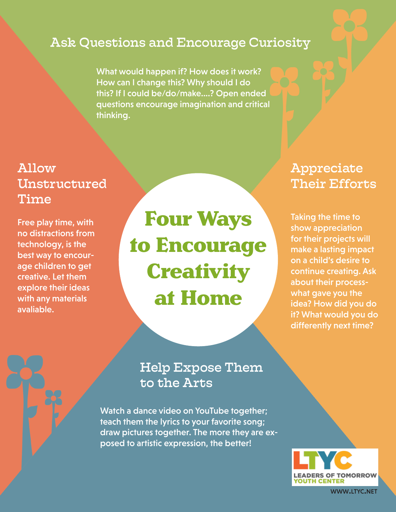# Ask Questions and Encourage Curiosity

What would happen if? How does it work? How can I change this? Why should I do this? If I could be/do/make....? Open ended questions encourage imagination and critical thinking.

# Allow Unstructured Time

Free play time, with no distractions from technology, is the best way to encourage children to get creative. Let them explore their ideas with any materials avaliable.

Four Ways to Encourage **Creativity** at Home

# Appreciate Their Efforts

Taking the time to show appreciation for their projects will make a lasting impact on a child's desire to continue creating. Ask about their processwhat gave you the idea? How did you do it? What would you do differently next time?

# Help Expose Them to the Arts

Watch a dance video on YouTube together; teach them the lyrics to your favorite song; draw pictures together. The more they are exposed to artistic expression, the better!

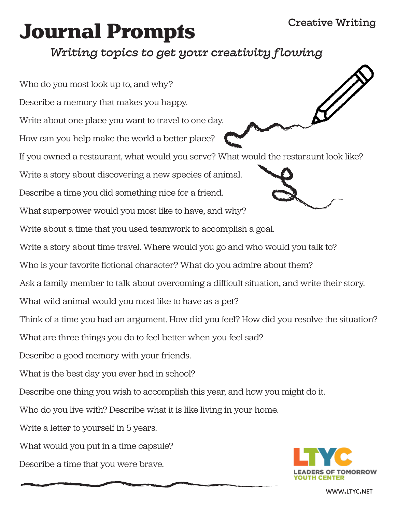### Creative Writing

# Journal Prompts

# *Writing topics to get your creativity flowing*

Who do you most look up to, and why? Describe a memory that makes you happy. Write about one place you want to travel to one day. How can you help make the world a better place? If you owned a restaurant, what would you serve? What would the restaraunt look like? Write a story about discovering a new species of animal. Describe a time you did something nice for a friend. What superpower would you most like to have, and why? Write about a time that you used teamwork to accomplish a goal. Write a story about time travel. Where would you go and who would you talk to? Who is your favorite fictional character? What do you admire about them? Ask a family member to talk about overcoming a difficult situation, and write their story. What wild animal would you most like to have as a pet? Think of a time you had an argument. How did you feel? How did you resolve the situation? What are three things you do to feel better when you feel sad? Describe a good memory with your friends. What is the best day you ever had in school? Describe one thing you wish to accomplish this year, and how you might do it. Who do you live with? Describe what it is like living in your home. Write a letter to yourself in 5 years. What would you put in a time capsule? Describe a time that you were brave.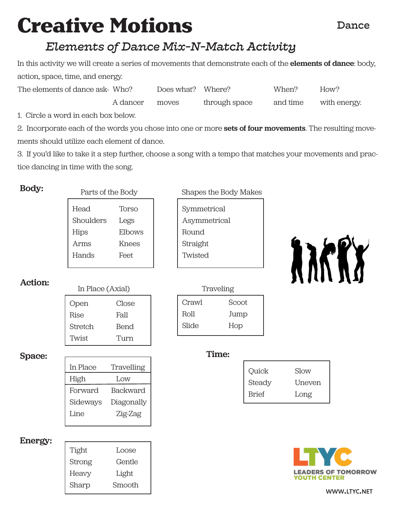# Creative Motions

#### Dance

# *Elements of Dance Mix-N-Match Activity*

In this activity we will create a series of movements that demonstrate each of the **elements of dance**: body, action, space, time, and energy.

| The elements of dance ask- Who? |          | Does what? Where? |               | When?    | How?         |
|---------------------------------|----------|-------------------|---------------|----------|--------------|
|                                 | A dancer | moves             | through space | and time | with energy. |

1. Circle a word in each box below.

2. Incorporate each of the words you chose into one or more sets of four movements. The resulting movements should utilize each element of dance.

3. If you'd like to take it a step further, choose a song with a tempo that matches your movements and practice dancing in time with the song.

#### Body:

| Parts of the Body |        |  |
|-------------------|--------|--|
| Head              | Torso  |  |
| Shoulders         | Legs   |  |
| Hips              | Elbows |  |
| Arms              | Knees  |  |
| Hands             | Feet   |  |
|                   |        |  |

#### Action:

| III PIACE (AXIAI) |       |
|-------------------|-------|
| Open              | Close |
| Rise              | Fall  |
| Stretch           | Bend  |
| Twist             | Turn  |

#### Space: Time:

| In Place | Travelling      |
|----------|-----------------|
| High     | Low             |
| Forward  | <b>Backward</b> |
| Sideways | Diagonally      |
| Line     | Zig-Zag         |
|          |                 |

#### Energy:

| Tight  | Loose  |
|--------|--------|
| Strong | Gentle |
| Heavy  | Light  |
| Sharp  | Smooth |

| Parts of the Body | Shapes the Body Makes |
|-------------------|-----------------------|
|                   |                       |

| Symmetrical  |
|--------------|
| Asymmetrical |
| Round        |
| Straight     |
| Twisted      |
|              |



# Crawl Scoot Roll Jump Slide Hop In Place (Axial) Traveling

| Quick        | Slow          |
|--------------|---------------|
| Steady       | <b>Uneven</b> |
| <b>Brief</b> | Long          |

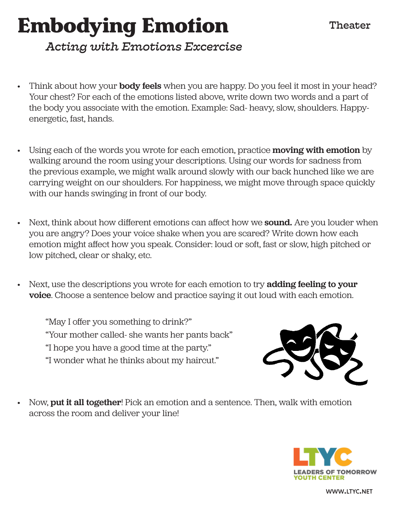# Embodying Emotion

### Theater

# *Acting with Emotions Excercise*

- Think about how your **body feels** when you are happy. Do you feel it most in your head? Your chest? For each of the emotions listed above, write down two words and a part of the body you associate with the emotion. Example: Sad- heavy, slow, shoulders. Happyenergetic, fast, hands.
- Using each of the words you wrote for each emotion, practice **moving with emotion** by walking around the room using your descriptions. Using our words for sadness from the previous example, we might walk around slowly with our back hunched like we are carrying weight on our shoulders. For happiness, we might move through space quickly with our hands swinging in front of our body.
- Next, think about how different emotions can affect how we **sound.** Are you louder when you are angry? Does your voice shake when you are scared? Write down how each emotion might affect how you speak. Consider: loud or soft, fast or slow, high pitched or low pitched, clear or shaky, etc.
- Next, use the descriptions you wrote for each emotion to try **adding feeling to your** voice. Choose a sentence below and practice saying it out loud with each emotion.

"May I offer you something to drink?" "Your mother called- she wants her pants back" "I hope you have a good time at the party." "I wonder what he thinks about my haircut."



• Now, put it all together! Pick an emotion and a sentence. Then, walk with emotion across the room and deliver your line!

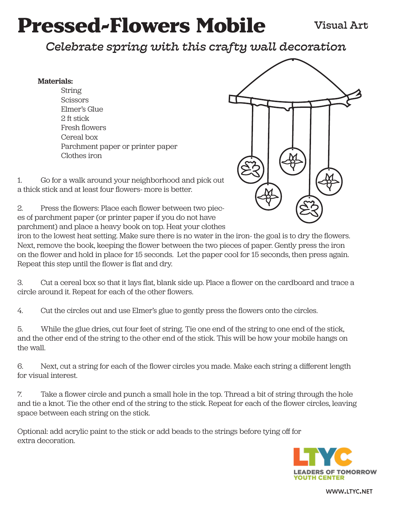# Pressed-Flowers Mobile

# *Celebrate spring with this crafty wall decoration*

#### Materials:

String Scissors Elmer's Glue 2 ft stick Fresh flowers Cereal box Parchment paper or printer paper Clothes iron



1. Go for a walk around your neighborhood and pick out a thick stick and at least four flowers- more is better.

2. Press the flowers: Place each flower between two pieces of parchment paper (or printer paper if you do not have parchment) and place a heavy book on top. Heat your clothes

iron to the lowest heat setting. Make sure there is no water in the iron- the goal is to dry the flowers. Next, remove the book, keeping the flower between the two pieces of paper. Gently press the iron on the flower and hold in place for 15 seconds. Let the paper cool for 15 seconds, then press again. Repeat this step until the flower is flat and dry.

3. Cut a cereal box so that it lays flat, blank side up. Place a flower on the cardboard and trace a circle around it. Repeat for each of the other flowers.

4. Cut the circles out and use Elmer's glue to gently press the flowers onto the circles.

5. While the glue dries, cut four feet of string. Tie one end of the string to one end of the stick, and the other end of the string to the other end of the stick. This will be how your mobile hangs on the wall.

6. Next, cut a string for each of the flower circles you made. Make each string a different length for visual interest.

7. Take a flower circle and punch a small hole in the top. Thread a bit of string through the hole and tie a knot. Tie the other end of the string to the stick. Repeat for each of the flower circles, leaving space between each string on the stick.

Optional: add acrylic paint to the stick or add beads to the strings before tying off for extra decoration.

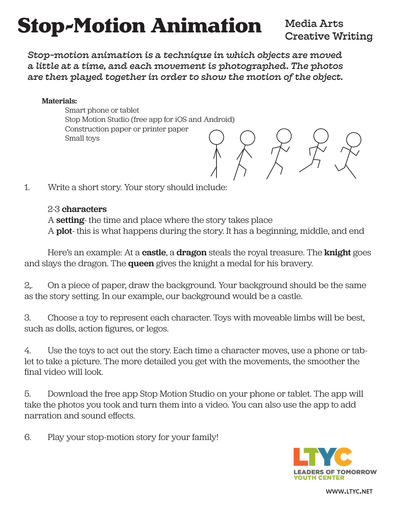# Stop-Motion Animation

### Media Arts Creative Writing

 $\begin{array}{c} \begin{array}{c} \end{array} \end{array}$ 

*Stop-motion animation is a technique in which objects are moved a little at a time, and each movement is photographed. The photos are then played together in order to show the motion of the object.*

#### Materials:

Smart phone or tablet Stop Motion Studio (free app for iOS and Android) Construction paper or printer paper Small toys

1. Write a short story. Your story should include:

#### 2-3 characters

A setting- the time and place where the story takes place A **plot**- this is what happens during the story. It has a beginning, middle, and end

Here's an example: At a **castle**, a **dragon** steals the royal treasure. The **knight** goes and slays the dragon. The queen gives the knight a medal for his bravery.

2,. On a piece of paper, draw the background. Your background should be the same as the story setting. In our example, our background would be a castle.

3. Choose a toy to represent each character. Toys with moveable limbs will be best, such as dolls, action figures, or legos.

4. Use the toys to act out the story. Each time a character moves, use a phone or tablet to take a picture. The more detailed you get with the movements, the smoother the final video will look.

5. Download the free app Stop Motion Studio on your phone or tablet. The app will take the photos you took and turn them into a video. You can also use the app to add narration and sound effects.

6. Play your stop-motion story for your family!

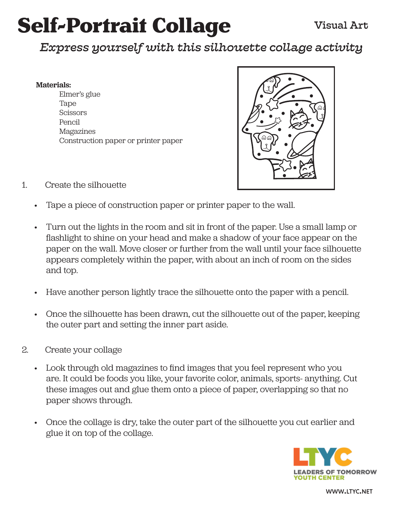# Self-Portrait Collage

# *Express yourself with this silhouette collage activity*

#### Materials:

Elmer's glue Tape **Scissors** Pencil Magazines Construction paper or printer paper



- 1. Create the silhouette
	- Tape a piece of construction paper or printer paper to the wall.
	- Turn out the lights in the room and sit in front of the paper. Use a small lamp or flashlight to shine on your head and make a shadow of your face appear on the paper on the wall. Move closer or further from the wall until your face silhouette appears completely within the paper, with about an inch of room on the sides and top.
	- Have another person lightly trace the silhouette onto the paper with a pencil.
	- Once the silhouette has been drawn, cut the silhouette out of the paper, keeping the outer part and setting the inner part aside.
- 2. Create your collage
	- Look through old magazines to find images that you feel represent who you are. It could be foods you like, your favorite color, animals, sports- anything. Cut these images out and glue them onto a piece of paper, overlapping so that no paper shows through.
	- Once the collage is dry, take the outer part of the silhouette you cut earlier and glue it on top of the collage.